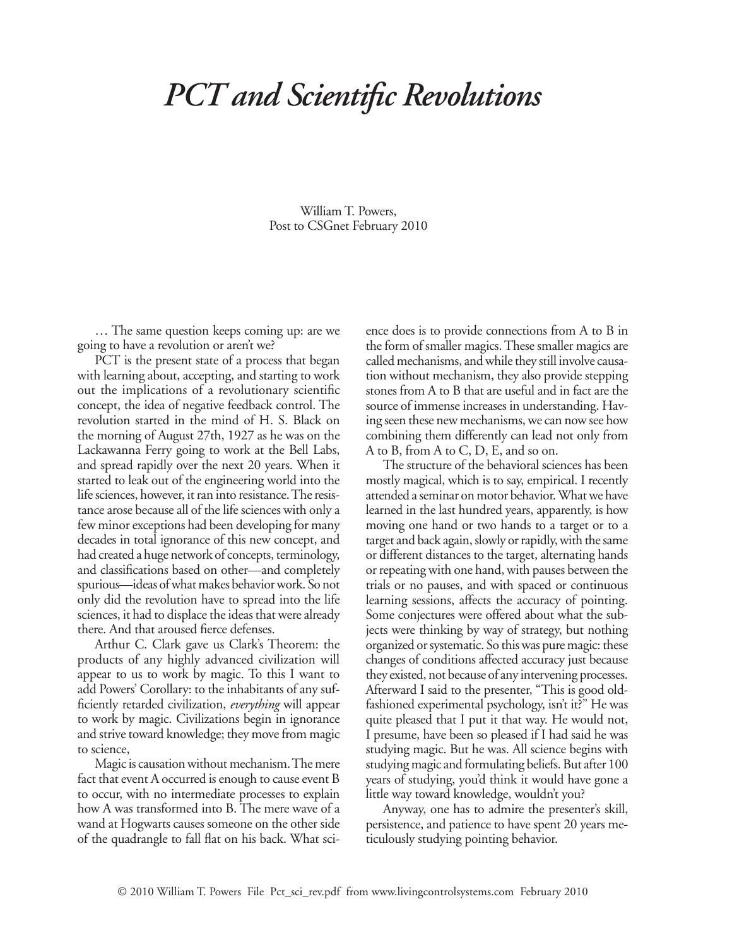## *PCT and Scientific Revolutions*

William T. Powers, Post to CSGnet February 2010

… The same question keeps coming up: are we going to have a revolution or aren't we?

PCT is the present state of a process that began with learning about, accepting, and starting to work out the implications of a revolutionary scientific concept, the idea of negative feedback control. The revolution started in the mind of H. S. Black on the morning of August 27th, 1927 as he was on the Lackawanna Ferry going to work at the Bell Labs, and spread rapidly over the next 20 years. When it started to leak out of the engineering world into the life sciences, however, it ran into resistance. The resistance arose because all of the life sciences with only a few minor exceptions had been developing for many decades in total ignorance of this new concept, and had created a huge network of concepts, terminology, and classifications based on other—and completely spurious—ideas of what makes behavior work. So not only did the revolution have to spread into the life sciences, it had to displace the ideas that were already there. And that aroused fierce defenses.

Arthur C. Clark gave us Clark's Theorem: the products of any highly advanced civilization will appear to us to work by magic. To this I want to add Powers' Corollary: to the inhabitants of any sufficiently retarded civilization, *everything* will appear to work by magic. Civilizations begin in ignorance and strive toward knowledge; they move from magic to science,

Magic is causation without mechanism. The mere fact that event A occurred is enough to cause event B to occur, with no intermediate processes to explain how A was transformed into B. The mere wave of a wand at Hogwarts causes someone on the other side of the quadrangle to fall flat on his back. What science does is to provide connections from A to B in the form of smaller magics. These smaller magics are called mechanisms, and while they still involve causation without mechanism, they also provide stepping stones from A to B that are useful and in fact are the source of immense increases in understanding. Having seen these new mechanisms, we can now see how combining them differently can lead not only from A to B, from A to C, D, E, and so on.

The structure of the behavioral sciences has been mostly magical, which is to say, empirical. I recently attended a seminar on motor behavior. What we have learned in the last hundred years, apparently, is how moving one hand or two hands to a target or to a target and back again, slowly or rapidly, with the same or different distances to the target, alternating hands or repeating with one hand, with pauses between the trials or no pauses, and with spaced or continuous learning sessions, affects the accuracy of pointing. Some conjectures were offered about what the subjects were thinking by way of strategy, but nothing organized or systematic. So this was pure magic: these changes of conditions affected accuracy just because they existed, not because of any intervening processes. Afterward I said to the presenter, "This is good oldfashioned experimental psychology, isn't it?" He was quite pleased that I put it that way. He would not, I presume, have been so pleased if I had said he was studying magic. But he was. All science begins with studying magic and formulating beliefs. But after 100 years of studying, you'd think it would have gone a little way toward knowledge, wouldn't you?

Anyway, one has to admire the presenter's skill, persistence, and patience to have spent 20 years meticulously studying pointing behavior.